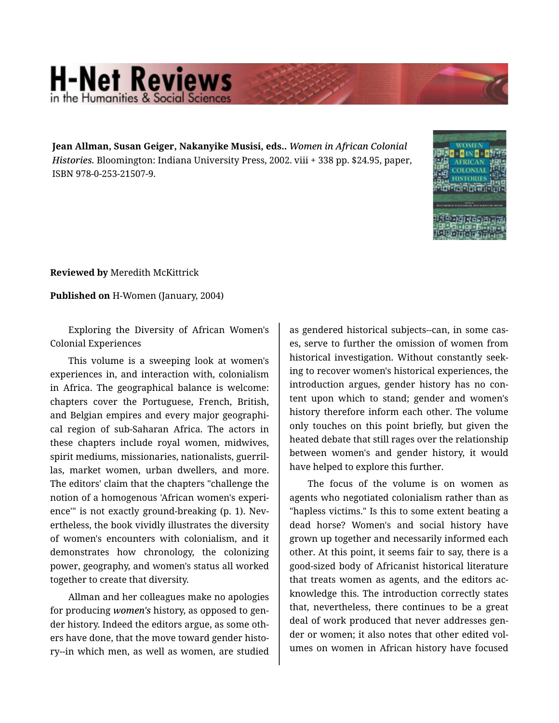## **H-Net Reviews** in the Humanities & Social Scie

**Jean Allman, Susan Geiger, Nakanyike Musisi, eds..** *Women in African Colonial Histories.* Bloomington: Indiana University Press, 2002. viii + 338 pp. \$24.95, paper, ISBN 978-0-253-21507-9.



**Reviewed by** Meredith McKittrick

**Published on** H-Women (January, 2004)

Exploring the Diversity of African Women's Colonial Experiences

This volume is a sweeping look at women's experiences in, and interaction with, colonialism in Africa. The geographical balance is welcome: chapters cover the Portuguese, French, British, and Belgian empires and every major geographi‐ cal region of sub-Saharan Africa. The actors in these chapters include royal women, midwives, spirit mediums, missionaries, nationalists, guerril‐ las, market women, urban dwellers, and more. The editors' claim that the chapters "challenge the notion of a homogenous 'African women's experi‐ ence'" is not exactly ground-breaking (p. 1). Nev‐ ertheless, the book vividly illustrates the diversity of women's encounters with colonialism, and it demonstrates how chronology, the colonizing power, geography, and women's status all worked together to create that diversity.

Allman and her colleagues make no apologies for producing *women's* history, as opposed to gen‐ der history. Indeed the editors argue, as some oth‐ ers have done, that the move toward gender histo‐ ry--in which men, as well as women, are studied

as gendered historical subjects--can, in some cas‐ es, serve to further the omission of women from historical investigation. Without constantly seek‐ ing to recover women's historical experiences, the introduction argues, gender history has no con‐ tent upon which to stand; gender and women's history therefore inform each other. The volume only touches on this point briefly, but given the heated debate that still rages over the relationship between women's and gender history, it would have helped to explore this further.

The focus of the volume is on women as agents who negotiated colonialism rather than as "hapless victims." Is this to some extent beating a dead horse? Women's and social history have grown up together and necessarily informed each other. At this point, it seems fair to say, there is a good-sized body of Africanist historical literature that treats women as agents, and the editors ac‐ knowledge this. The introduction correctly states that, nevertheless, there continues to be a great deal of work produced that never addresses gen‐ der or women; it also notes that other edited vol‐ umes on women in African history have focused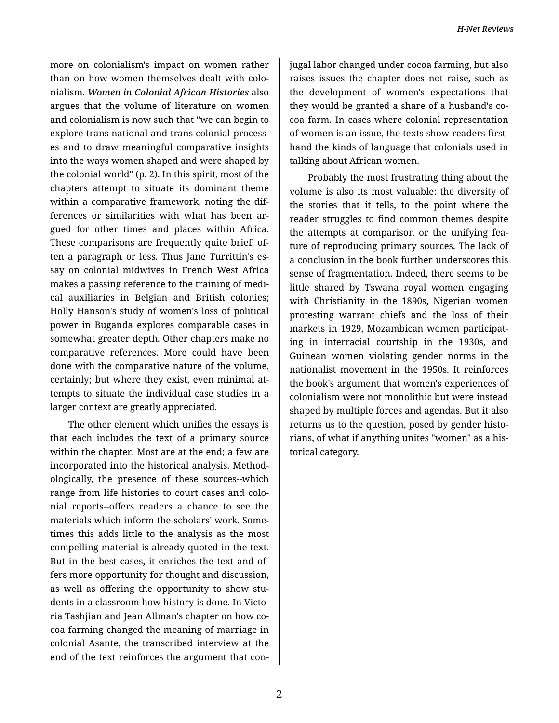more on colonialism's impact on women rather than on how women themselves dealt with colo‐ nialism. *Women in Colonial African Histories* also argues that the volume of literature on women and colonialism is now such that "we can begin to explore trans-national and trans-colonial process‐ es and to draw meaningful comparative insights into the ways women shaped and were shaped by the colonial world" (p. 2). In this spirit, most of the chapters attempt to situate its dominant theme within a comparative framework, noting the dif‐ ferences or similarities with what has been ar‐ gued for other times and places within Africa. These comparisons are frequently quite brief, of‐ ten a paragraph or less. Thus Jane Turrittin's es‐ say on colonial midwives in French West Africa makes a passing reference to the training of medi‐ cal auxiliaries in Belgian and British colonies; Holly Hanson's study of women's loss of political power in Buganda explores comparable cases in somewhat greater depth. Other chapters make no comparative references. More could have been done with the comparative nature of the volume, certainly; but where they exist, even minimal at‐ tempts to situate the individual case studies in a larger context are greatly appreciated.

The other element which unifies the essays is that each includes the text of a primary source within the chapter. Most are at the end; a few are incorporated into the historical analysis. Method‐ ologically, the presence of these sources--which range from life histories to court cases and colo‐ nial reports--offers readers a chance to see the materials which inform the scholars' work. Some‐ times this adds little to the analysis as the most compelling material is already quoted in the text. But in the best cases, it enriches the text and of‐ fers more opportunity for thought and discussion, as well as offering the opportunity to show stu‐ dents in a classroom how history is done. In Victo‐ ria Tashjian and Jean Allman's chapter on how co‐ coa farming changed the meaning of marriage in colonial Asante, the transcribed interview at the end of the text reinforces the argument that con‐

jugal labor changed under cocoa farming, but also raises issues the chapter does not raise, such as the development of women's expectations that they would be granted a share of a husband's co‐ coa farm. In cases where colonial representation of women is an issue, the texts show readers first‐ hand the kinds of language that colonials used in talking about African women.

Probably the most frustrating thing about the volume is also its most valuable: the diversity of the stories that it tells, to the point where the reader struggles to find common themes despite the attempts at comparison or the unifying fea‐ ture of reproducing primary sources. The lack of a conclusion in the book further underscores this sense of fragmentation. Indeed, there seems to be little shared by Tswana royal women engaging with Christianity in the 1890s, Nigerian women protesting warrant chiefs and the loss of their markets in 1929, Mozambican women participat‐ ing in interracial courtship in the 1930s, and Guinean women violating gender norms in the nationalist movement in the 1950s. It reinforces the book's argument that women's experiences of colonialism were not monolithic but were instead shaped by multiple forces and agendas. But it also returns us to the question, posed by gender histo‐ rians, of what if anything unites "women" as a his‐ torical category.